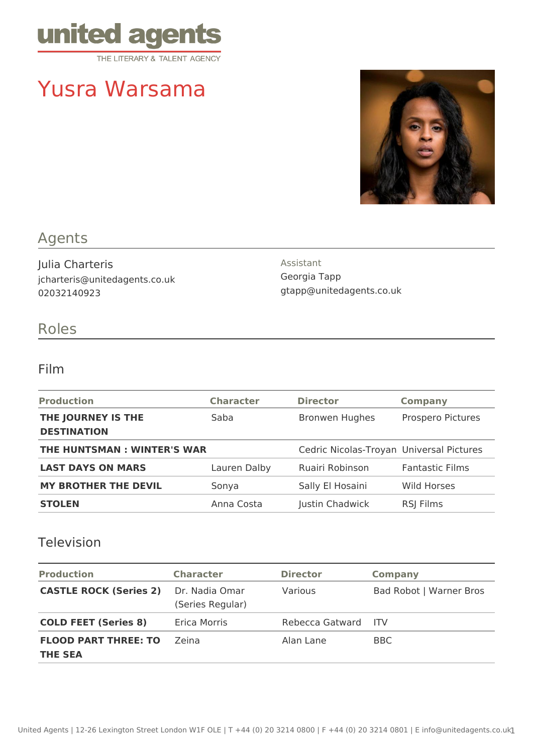

# Yusra Warsama



## Agents

Julia Charteris jcharteris@unitedagents.co.uk 02032140923

#### Assistant Georgia Tapp gtapp@unitedagents.co.uk

## Roles

#### Film

| <b>Production</b>                        | <b>Character</b> | <b>Director</b>                          | <b>Company</b>         |  |
|------------------------------------------|------------------|------------------------------------------|------------------------|--|
| THE JOURNEY IS THE<br><b>DESTINATION</b> | Saba             | <b>Bronwen Hughes</b>                    | Prospero Pictures      |  |
| THE HUNTSMAN : WINTER'S WAR              |                  | Cedric Nicolas-Troyan Universal Pictures |                        |  |
| <b>LAST DAYS ON MARS</b>                 | Lauren Dalby     | Ruairi Robinson                          | <b>Fantastic Films</b> |  |
| <b>MY BROTHER THE DEVIL</b>              | Sonya            | Sally El Hosaini                         | Wild Horses            |  |
| <b>STOLEN</b>                            | Anna Costa       | Justin Chadwick                          | RSJ Films              |  |

#### Television

| <b>Production</b>                             | <b>Character</b>                   | <b>Director</b> | <b>Company</b>          |
|-----------------------------------------------|------------------------------------|-----------------|-------------------------|
| <b>CASTLE ROCK (Series 2)</b>                 | Dr. Nadia Omar<br>(Series Regular) | Various         | Bad Robot   Warner Bros |
| <b>COLD FEET (Series 8)</b>                   | Erica Morris                       | Rebecca Gatward | <b>ITV</b>              |
| <b>FLOOD PART THREE: TO</b><br><b>THE SEA</b> | Zeina                              | Alan Lane       | <b>BBC</b>              |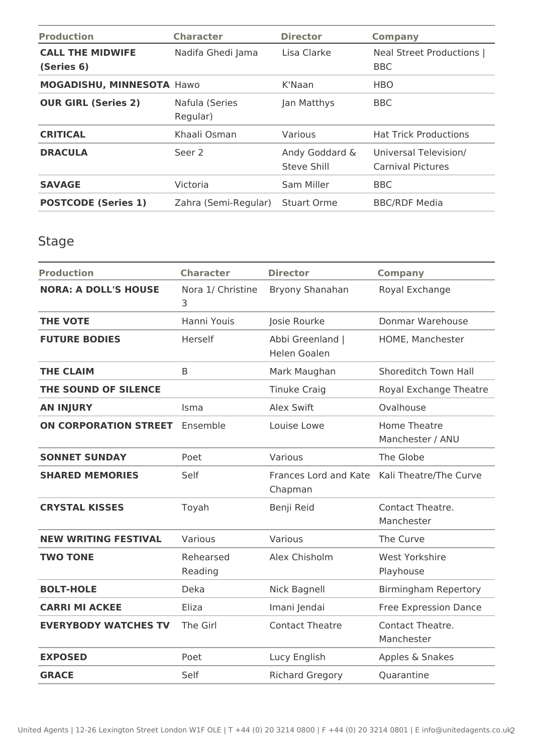| <b>Production</b>                     | <b>Character</b>           | <b>Director</b>               | <b>Company</b>                                    |
|---------------------------------------|----------------------------|-------------------------------|---------------------------------------------------|
| <b>CALL THE MIDWIFE</b><br>(Series 6) | Nadifa Ghedi Jama          | Lisa Clarke                   | Neal Street Productions  <br><b>BBC</b>           |
| MOGADISHU, MINNESOTA Hawo             |                            | K'Naan                        | <b>HBO</b>                                        |
| <b>OUR GIRL (Series 2)</b>            | Nafula (Series<br>Regular) | Jan Matthys                   | <b>BBC</b>                                        |
| <b>CRITICAL</b>                       | Khaali Osman               | Various                       | <b>Hat Trick Productions</b>                      |
| <b>DRACULA</b>                        | Seer <sub>2</sub>          | Andy Goddard &<br>Steve Shill | Universal Television/<br><b>Carnival Pictures</b> |
| <b>SAVAGE</b>                         | Victoria                   | Sam Miller                    | <b>BBC</b>                                        |
| <b>POSTCODE (Series 1)</b>            | Zahra (Semi-Regular)       | Stuart Orme                   | <b>BBC/RDF Media</b>                              |

## Stage

| <b>Production</b>            | <b>Character</b>       | <b>Director</b>                  | <b>Company</b>                               |
|------------------------------|------------------------|----------------------------------|----------------------------------------------|
| <b>NORA: A DOLL'S HOUSE</b>  | Nora 1/ Christine<br>3 | Bryony Shanahan                  | Royal Exchange                               |
| <b>THE VOTE</b>              | Hanni Youis            | Josie Rourke                     | Donmar Warehouse                             |
| <b>FUTURE BODIES</b>         | Herself                | Abbi Greenland  <br>Helen Goalen | HOME, Manchester                             |
| <b>THE CLAIM</b>             | B                      | Mark Maughan                     | Shoreditch Town Hall                         |
| THE SOUND OF SILENCE         |                        | <b>Tinuke Craig</b>              | Royal Exchange Theatre                       |
| <b>AN INJURY</b>             | Isma                   | <b>Alex Swift</b>                | Ovalhouse                                    |
| <b>ON CORPORATION STREET</b> | Ensemble               | Louise Lowe                      | <b>Home Theatre</b><br>Manchester / ANU      |
| <b>SONNET SUNDAY</b>         | Poet                   | Various                          | The Globe                                    |
| <b>SHARED MEMORIES</b>       | Self                   | Chapman                          | Frances Lord and Kate Kali Theatre/The Curve |
| <b>CRYSTAL KISSES</b>        | Toyah                  | Benji Reid                       | Contact Theatre.<br>Manchester               |
| <b>NEW WRITING FESTIVAL</b>  | Various                | Various                          | The Curve                                    |
| <b>TWO TONE</b>              | Rehearsed<br>Reading   | Alex Chisholm                    | <b>West Yorkshire</b><br>Playhouse           |
| <b>BOLT-HOLE</b>             | Deka                   | <b>Nick Bagnell</b>              | <b>Birmingham Repertory</b>                  |
| <b>CARRI MI ACKEE</b>        | Eliza                  | Imani Jendai                     | <b>Free Expression Dance</b>                 |
| <b>EVERYBODY WATCHES TV</b>  | The Girl               | <b>Contact Theatre</b>           | Contact Theatre.<br>Manchester               |
| <b>EXPOSED</b>               | Poet                   | Lucy English                     | Apples & Snakes                              |
| <b>GRACE</b>                 | Self                   | <b>Richard Gregory</b>           | Quarantine                                   |
|                              |                        |                                  |                                              |